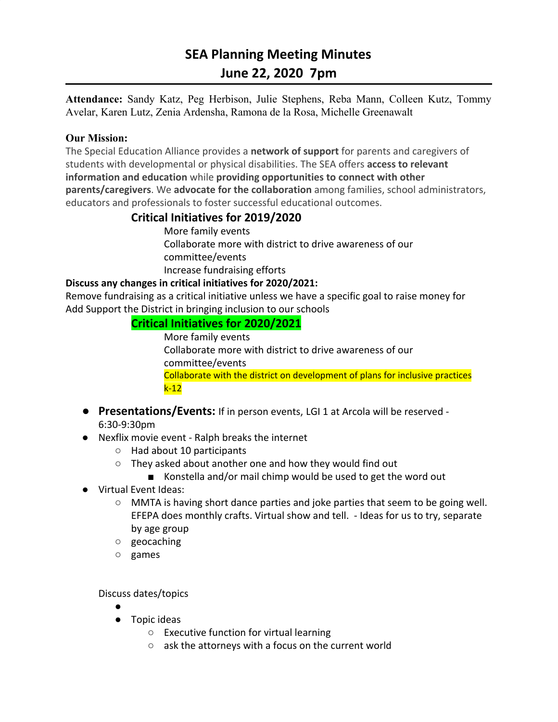# **SEA Planning Meeting Minutes June 22, 2020 7pm**

**Attendance:** Sandy Katz, Peg Herbison, Julie Stephens, Reba Mann, Colleen Kutz, Tommy Avelar, Karen Lutz, Zenia Ardensha, Ramona de la Rosa, Michelle Greenawalt

#### **Our Mission:**

The Special Education Alliance provides a **network of support** for parents and caregivers of students with developmental or physical disabilities. The SEA offers **access to relevant information and education** while **providing opportunities to connect with other parents/caregivers**. We **advocate for the collaboration** among families, school administrators, educators and professionals to foster successful educational outcomes.

### **Critical Initiatives for 2019/2020**

More family events Collaborate more with district to drive awareness of our committee/events Increase fundraising efforts

#### **Discuss any changes in critical initiatives for 2020/2021:**

Remove fundraising as a critical initiative unless we have a specific goal to raise money for Add Support the District in bringing inclusion to our schools

### **Critical Initiatives for 2020/2021**

More family events Collaborate more with district to drive awareness of our committee/events Collaborate with the district on development of plans for inclusive practices k-12

- **● Presentations/Events:** If in person events, LGI 1 at Arcola will be reserved 6:30-9:30pm
- Nexflix movie event Ralph breaks the internet
	- Had about 10 participants
	- They asked about another one and how they would find out
		- Konstella and/or mail chimp would be used to get the word out
- Virtual Event Ideas:
	- MMTA is having short dance parties and joke parties that seem to be going well. EFEPA does monthly crafts. Virtual show and tell. - Ideas for us to try, separate by age group
	- geocaching
	- games

Discuss dates/topics

- ●
- Topic ideas
	- Executive function for virtual learning
	- ask the attorneys with a focus on the current world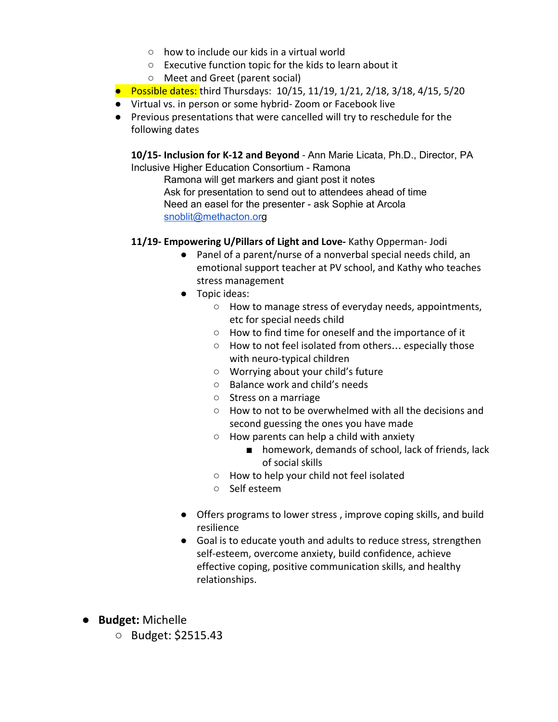- how to include our kids in a virtual world
- Executive function topic for the kids to learn about it
- Meet and Greet (parent social)
- Possible dates: third Thursdays: 10/15, 11/19, 1/21, 2/18, 3/18, 4/15, 5/20
- Virtual vs. in person or some hybrid- Zoom or Facebook live
- Previous presentations that were cancelled will try to reschedule for the following dates

**10/15- Inclusion for K-12 and Beyond** - Ann Marie Licata, Ph.D., Director, PA Inclusive Higher Education Consortium - Ramona

Ramona will get markers and giant post it notes Ask for presentation to send out to attendees ahead of time Need an easel for the presenter - ask Sophie at Arcola [snoblit@methacton.or](mailto:snoblit@methacton.org)g

- **11/19- Empowering U/Pillars of Light and Love-** Kathy Opperman- Jodi
	- Panel of a parent/nurse of a nonverbal special needs child, an emotional support teacher at PV school, and Kathy who teaches stress management
	- Topic ideas:
		- How to manage stress of everyday needs, appointments, etc for special needs child
		- How to find time for oneself and the importance of it
		- How to not feel isolated from others… especially those with neuro-typical children
		- Worrying about your child's future
		- Balance work and child's needs
		- Stress on a marriage
		- How to not to be overwhelmed with all the decisions and second guessing the ones you have made
		- How parents can help a child with anxiety
			- homework, demands of school, lack of friends, lack of social skills
		- How to help your child not feel isolated
		- Self esteem
	- Offers programs to lower stress , improve coping skills, and build resilience
	- Goal is to educate youth and adults to reduce stress, strengthen self-esteem, overcome anxiety, build confidence, achieve effective coping, positive communication skills, and healthy relationships.
- **● Budget:** Michelle
	- Budget: \$2515.43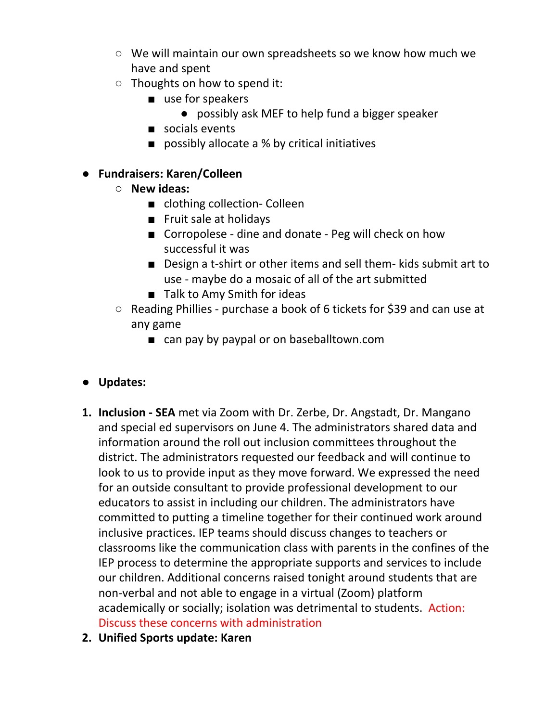- We will maintain our own spreadsheets so we know how much we have and spent
- Thoughts on how to spend it:
	- use for speakers
		- possibly ask MEF to help fund a bigger speaker
	- socials events
	- possibly allocate a % by critical initiatives

## **● Fundraisers: Karen/Colleen**

- **○ New ideas:**
	- clothing collection- Colleen
	- Fruit sale at holidays
	- Corropolese dine and donate Peg will check on how successful it was
	- Design a t-shirt or other items and sell them- kids submit art to use - maybe do a mosaic of all of the art submitted
	- Talk to Amy Smith for ideas
- Reading Phillies purchase a book of 6 tickets for \$39 and can use at any game
	- can pay by paypal or on baseballtown.com

# **● Updates:**

- **1. Inclusion - SEA** met via Zoom with Dr. Zerbe, Dr. Angstadt, Dr. Mangano and special ed supervisors on June 4. The administrators shared data and information around the roll out inclusion committees throughout the district. The administrators requested our feedback and will continue to look to us to provide input as they move forward. We expressed the need for an outside consultant to provide professional development to our educators to assist in including our children. The administrators have committed to putting a timeline together for their continued work around inclusive practices. IEP teams should discuss changes to teachers or classrooms like the communication class with parents in the confines of the IEP process to determine the appropriate supports and services to include our children. Additional concerns raised tonight around students that are non-verbal and not able to engage in a virtual (Zoom) platform academically or socially; isolation was detrimental to students. Action: Discuss these concerns with administration
- **2. Unified Sports update: Karen**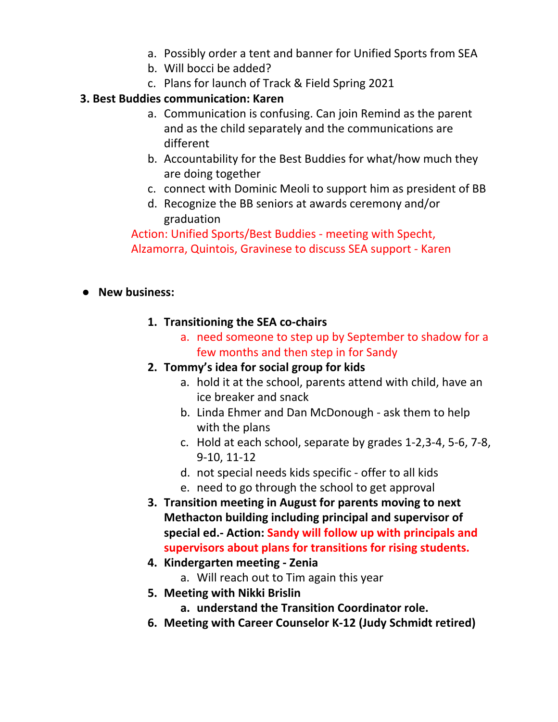- a. Possibly order a tent and banner for Unified Sports from SEA
- b. Will bocci be added?
- c. Plans for launch of Track & Field Spring 2021

### **3. Best Buddies communication: Karen**

- a. Communication is confusing. Can join Remind as the parent and as the child separately and the communications are different
- b. Accountability for the Best Buddies for what/how much they are doing together
- c. connect with Dominic Meoli to support him as president of BB
- d. Recognize the BB seniors at awards ceremony and/or graduation

Action: Unified Sports/Best Buddies - meeting with Specht, Alzamorra, Quintois, Gravinese to discuss SEA support - Karen

### **● New business:**

- **1. Transitioning the SEA co-chairs**
	- a. need someone to step up by September to shadow for a few months and then step in for Sandy

### **2. Tommy's idea for social group for kids**

- a. hold it at the school, parents attend with child, have an ice breaker and snack
- b. Linda Ehmer and Dan McDonough ask them to help with the plans
- c. Hold at each school, separate by grades 1-2,3-4, 5-6, 7-8, 9-10, 11-12
- d. not special needs kids specific offer to all kids
- e. need to go through the school to get approval
- **3. Transition meeting in August for parents moving to next Methacton building including principal and supervisor of special ed.- Action: Sandy will follow up with principals and supervisors about plans for transitions for rising students.**
- **4. Kindergarten meeting - Zenia**
	- a. Will reach out to Tim again this year
- **5. Meeting with Nikki Brislin**
	- **a. understand the Transition Coordinator role.**
- **6. Meeting with Career Counselor K-12 (Judy Schmidt retired)**